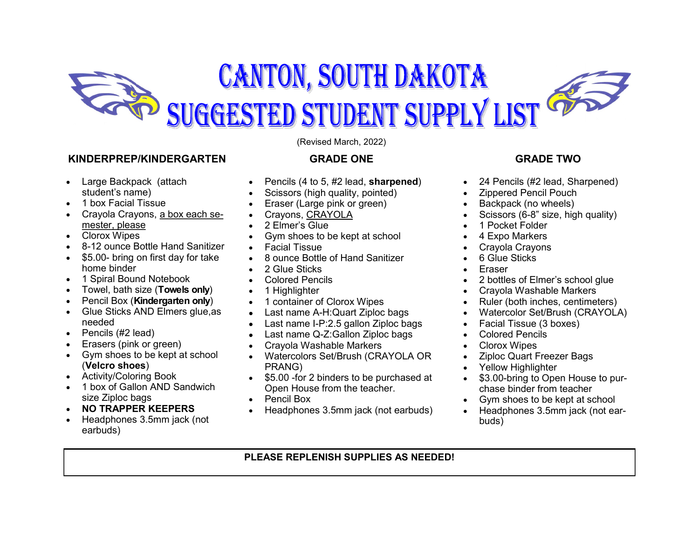

### **KINDERPREP/KINDERGARTEN**

- Large Backpack (attach student's name)
- 1 box Facial Tissue
- Crayola Crayons, a box each semester, please
- Clorox Wipes
- 8-12 ounce Bottle Hand Sanitizer
- \$5.00- bring on first day for take home binder
- 1 Spiral Bound Notebook
- Towel, bath size (**Towels only**)
- Pencil Box (**Kindergarten only**)
- Glue Sticks AND Elmers glue, as needed
- $\bullet$  Pencils (#2 lead)
- Erasers (pink or green)
- Gym shoes to be kept at school (**Velcro shoes**)
- Activity/Coloring Book
- 1 box of Gallon AND Sandwich size Ziploc bags
- **NO TRAPPER KEEPERS**
- Headphones 3.5mm jack (not earbuds)

(Revised March, 2022)

### **GRADE ONE**

- Pencils (4 to 5, #2 lead, **sharpened**)
- Scissors (high quality, pointed)
- Eraser (Large pink or green)
- Crayons, CRAYOLA
- 2 Elmer's Glue
- Gym shoes to be kept at school
- Facial Tissue
- 8 ounce Bottle of Hand Sanitizer
- 2 Glue Sticks
- Colored Pencils
- 1 Highlighter
- 1 container of Clorox Wipes
- Last name A-H:Quart Ziploc bags
- Last name I-P:2.5 gallon Ziploc bags
- Last name Q-Z:Gallon Ziploc bags
- Crayola Washable Markers
- Watercolors Set/Brush (CRAYOLA OR PRANG)
- \$5.00 -for 2 binders to be purchased at Open House from the teacher.
- Pencil Box
- Headphones 3.5mm jack (not earbuds)

## **GRADE TWO**

- 24 Pencils (#2 lead, Sharpened)
- Zippered Pencil Pouch
- Backpack (no wheels)
- Scissors (6-8" size, high quality)
- 1 Pocket Folder
- 4 Expo Markers
- Crayola Crayons
- 6 Glue Sticks
- Eraser
- 2 bottles of Elmer's school glue
- Crayola Washable Markers
- Ruler (both inches, centimeters)
- Watercolor Set/Brush (CRAYOLA)
- Facial Tissue (3 boxes)
- Colored Pencils
- Clorox Wipes
- Ziploc Quart Freezer Bags
- Yellow Highlighter
- \$3.00-bring to Open House to purchase binder from teacher
- Gym shoes to be kept at school
- Headphones 3.5mm jack (not earbuds)

# **PLEASE REPLENISH SUPPLIES AS NEEDED!**